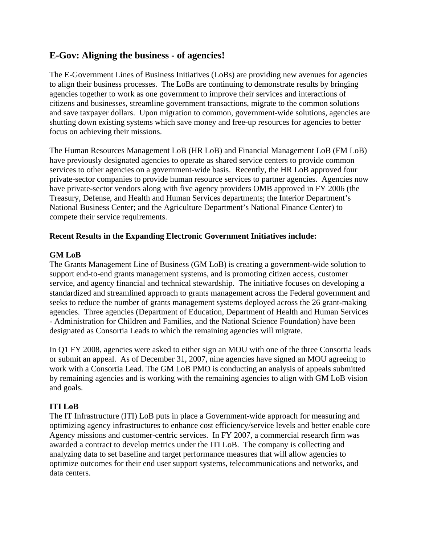# **E-Gov: Aligning the business - of agencies!**

The E-Government Lines of Business Initiatives (LoBs) are providing new avenues for agencies to align their business processes. The LoBs are continuing to demonstrate results by bringing agencies together to work as one government to improve their services and interactions of citizens and businesses, streamline government transactions, migrate to the common solutions and save taxpayer dollars. Upon migration to common, government-wide solutions, agencies are shutting down existing systems which save money and free-up resources for agencies to better focus on achieving their missions.

The Human Resources Management LoB (HR LoB) and Financial Management LoB (FM LoB) have previously designated agencies to operate as shared service centers to provide common services to other agencies on a government-wide basis. Recently, the HR LoB approved four private-sector companies to provide human resource services to partner agencies. Agencies now have private-sector vendors along with five agency providers OMB approved in FY 2006 (the Treasury, Defense, and Health and Human Services departments; the Interior Department's National Business Center; and the Agriculture Department's National Finance Center) to compete their service requirements.

## **Recent Results in the Expanding Electronic Government Initiatives include:**

### **GM LoB**

The Grants Management Line of Business (GM LoB) is creating a government-wide solution to support end-to-end grants management systems, and is promoting citizen access, customer service, and agency financial and technical stewardship. The initiative focuses on developing a standardized and streamlined approach to grants management across the Federal government and seeks to reduce the number of grants management systems deployed across the 26 grant-making agencies. Three agencies (Department of Education, Department of Health and Human Services - Administration for Children and Families, and the National Science Foundation) have been designated as Consortia Leads to which the remaining agencies will migrate.

In Q1 FY 2008, agencies were asked to either sign an MOU with one of the three Consortia leads or submit an appeal. As of December 31, 2007, nine agencies have signed an MOU agreeing to work with a Consortia Lead. The GM LoB PMO is conducting an analysis of appeals submitted by remaining agencies and is working with the remaining agencies to align with GM LoB vision and goals.

## **ITI LoB**

The IT Infrastructure (ITI) LoB puts in place a Government-wide approach for measuring and optimizing agency infrastructures to enhance cost efficiency/service levels and better enable core Agency missions and customer-centric services. In FY 2007, a commercial research firm was awarded a contract to develop metrics under the ITI LoB. The company is collecting and analyzing data to set baseline and target performance measures that will allow agencies to optimize outcomes for their end user support systems, telecommunications and networks, and data centers.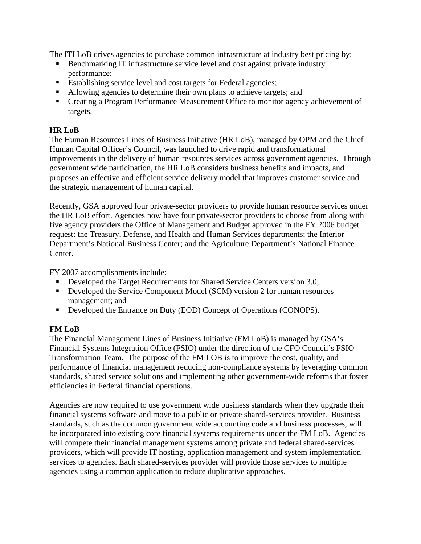The ITI LoB drives agencies to purchase common infrastructure at industry best pricing by:

- Benchmarking IT infrastructure service level and cost against private industry performance;
- Establishing service level and cost targets for Federal agencies;
- Allowing agencies to determine their own plans to achieve targets; and
- Creating a Program Performance Measurement Office to monitor agency achievement of targets.

#### **HR LoB**

The Human Resources Lines of Business Initiative (HR LoB), managed by OPM and the Chief Human Capital Officer's Council, was launched to drive rapid and transformational improvements in the delivery of human resources services across government agencies. Through government wide participation, the HR LoB considers business benefits and impacts, and proposes an effective and efficient service delivery model that improves customer service and the strategic management of human capital.

Recently, GSA approved four private-sector providers to provide human resource services under the HR LoB effort. Agencies now have four private-sector providers to choose from along with five agency providers the Office of Management and Budget approved in the FY 2006 budget request: the Treasury, Defense, and Health and Human Services departments; the Interior Department's National Business Center; and the Agriculture Department's National Finance Center.

FY 2007 accomplishments include:

- Developed the Target Requirements for Shared Service Centers version 3.0;
- Developed the Service Component Model (SCM) version 2 for human resources management; and
- Developed the Entrance on Duty (EOD) Concept of Operations (CONOPS).

## **FM LoB**

The Financial Management Lines of Business Initiative (FM LoB) is managed by GSA's Financial Systems Integration Office (FSIO) under the direction of the CFO Council's FSIO Transformation Team. The purpose of the FM LOB is to improve the cost, quality, and performance of financial management reducing non-compliance systems by leveraging common standards, shared service solutions and implementing other government-wide reforms that foster efficiencies in Federal financial operations.

Agencies are now required to use government wide business standards when they upgrade their financial systems software and move to a public or private shared-services provider. Business standards, such as the common government wide accounting code and business processes, will be incorporated into existing core financial systems requirements under the FM LoB. Agencies will compete their financial management systems among private and federal shared-services providers, which will provide IT hosting, application management and system implementation services to agencies. Each shared-services provider will provide those services to multiple agencies using a common application to reduce duplicative approaches.